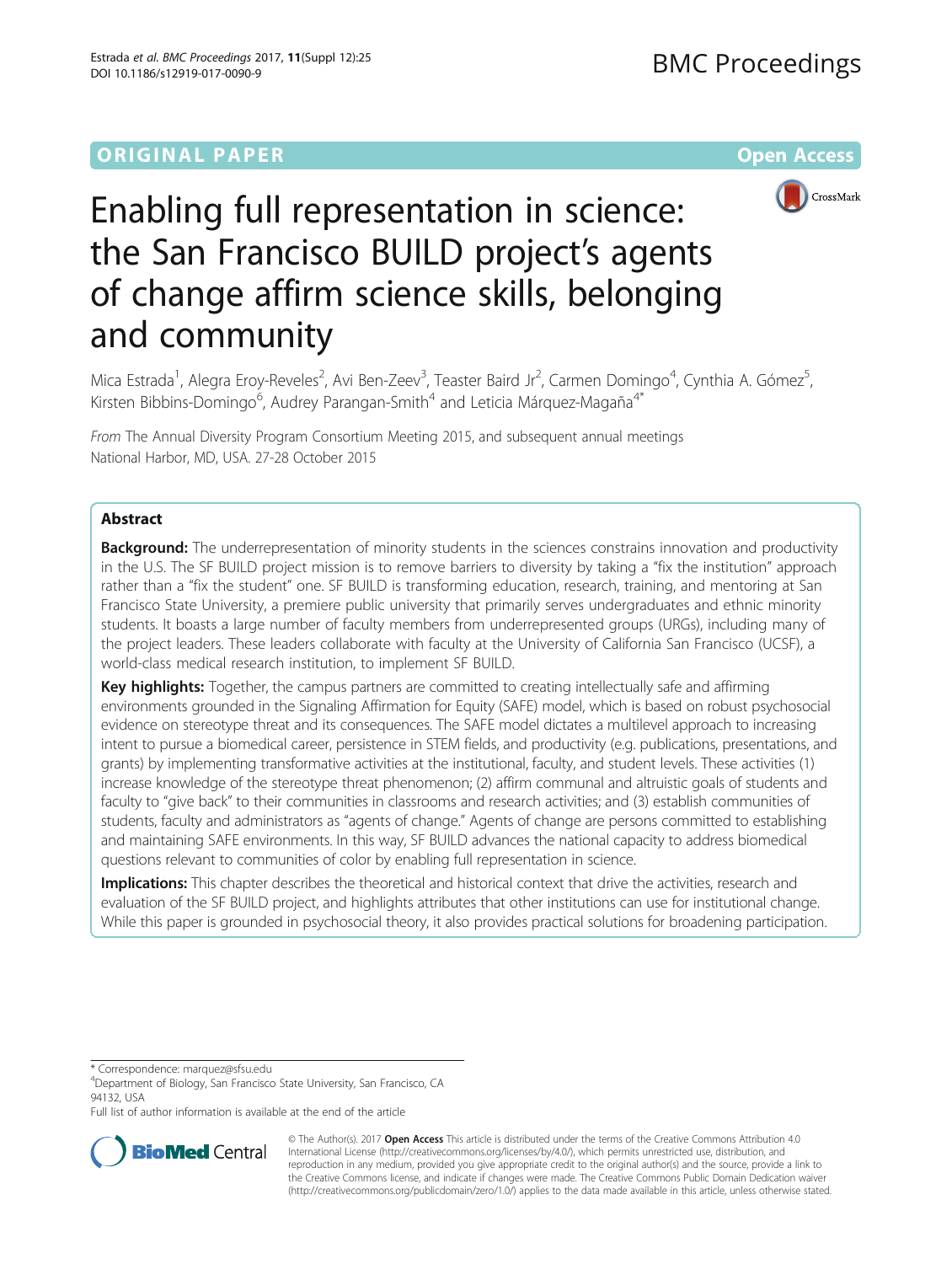# ORIGINAL PAPER AND RESERVE THE RESERVE TO A CONSTRUCT OPEN ACCESS



# Enabling full representation in science: the San Francisco BUILD project's agents of change affirm science skills, belonging and community

Mica Estrada<sup>1</sup>, Alegra Eroy-Reveles<sup>2</sup>, Avi Ben-Zeev<sup>3</sup>, Teaster Baird Jr<sup>2</sup>, Carmen Domingo<sup>4</sup>, Cynthia A. Gómez<sup>5</sup> , Kirsten Bibbins-Domingo<sup>6</sup>, Audrey Parangan-Smith<sup>4</sup> and Leticia Márquez-Magaña<sup>4\*</sup>

From The Annual Diversity Program Consortium Meeting 2015, and subsequent annual meetings National Harbor, MD, USA. 27-28 October 2015

# Abstract

Background: The underrepresentation of minority students in the sciences constrains innovation and productivity in the U.S. The SF BUILD project mission is to remove barriers to diversity by taking a "fix the institution" approach rather than a "fix the student" one. SF BUILD is transforming education, research, training, and mentoring at San Francisco State University, a premiere public university that primarily serves undergraduates and ethnic minority students. It boasts a large number of faculty members from underrepresented groups (URGs), including many of the project leaders. These leaders collaborate with faculty at the University of California San Francisco (UCSF), a world-class medical research institution, to implement SF BUILD.

Key highlights: Together, the campus partners are committed to creating intellectually safe and affirming environments grounded in the Signaling Affirmation for Equity (SAFE) model, which is based on robust psychosocial evidence on stereotype threat and its consequences. The SAFE model dictates a multilevel approach to increasing intent to pursue a biomedical career, persistence in STEM fields, and productivity (e.g. publications, presentations, and grants) by implementing transformative activities at the institutional, faculty, and student levels. These activities (1) increase knowledge of the stereotype threat phenomenon; (2) affirm communal and altruistic goals of students and faculty to "give back" to their communities in classrooms and research activities; and (3) establish communities of students, faculty and administrators as "agents of change." Agents of change are persons committed to establishing and maintaining SAFE environments. In this way, SF BUILD advances the national capacity to address biomedical questions relevant to communities of color by enabling full representation in science.

Implications: This chapter describes the theoretical and historical context that drive the activities, research and evaluation of the SF BUILD project, and highlights attributes that other institutions can use for institutional change. While this paper is grounded in psychosocial theory, it also provides practical solutions for broadening participation.

\* Correspondence: [marquez@sfsu.edu](mailto:marquez@sfsu.edu) <sup>4</sup>

Full list of author information is available at the end of the article



© The Author(s). 2017 **Open Access** This article is distributed under the terms of the Creative Commons Attribution 4.0 International License [\(http://creativecommons.org/licenses/by/4.0/](http://creativecommons.org/licenses/by/4.0/)), which permits unrestricted use, distribution, and reproduction in any medium, provided you give appropriate credit to the original author(s) and the source, provide a link to the Creative Commons license, and indicate if changes were made. The Creative Commons Public Domain Dedication waiver [\(http://creativecommons.org/publicdomain/zero/1.0/](http://creativecommons.org/publicdomain/zero/1.0/)) applies to the data made available in this article, unless otherwise stated.

Department of Biology, San Francisco State University, San Francisco, CA 94132, USA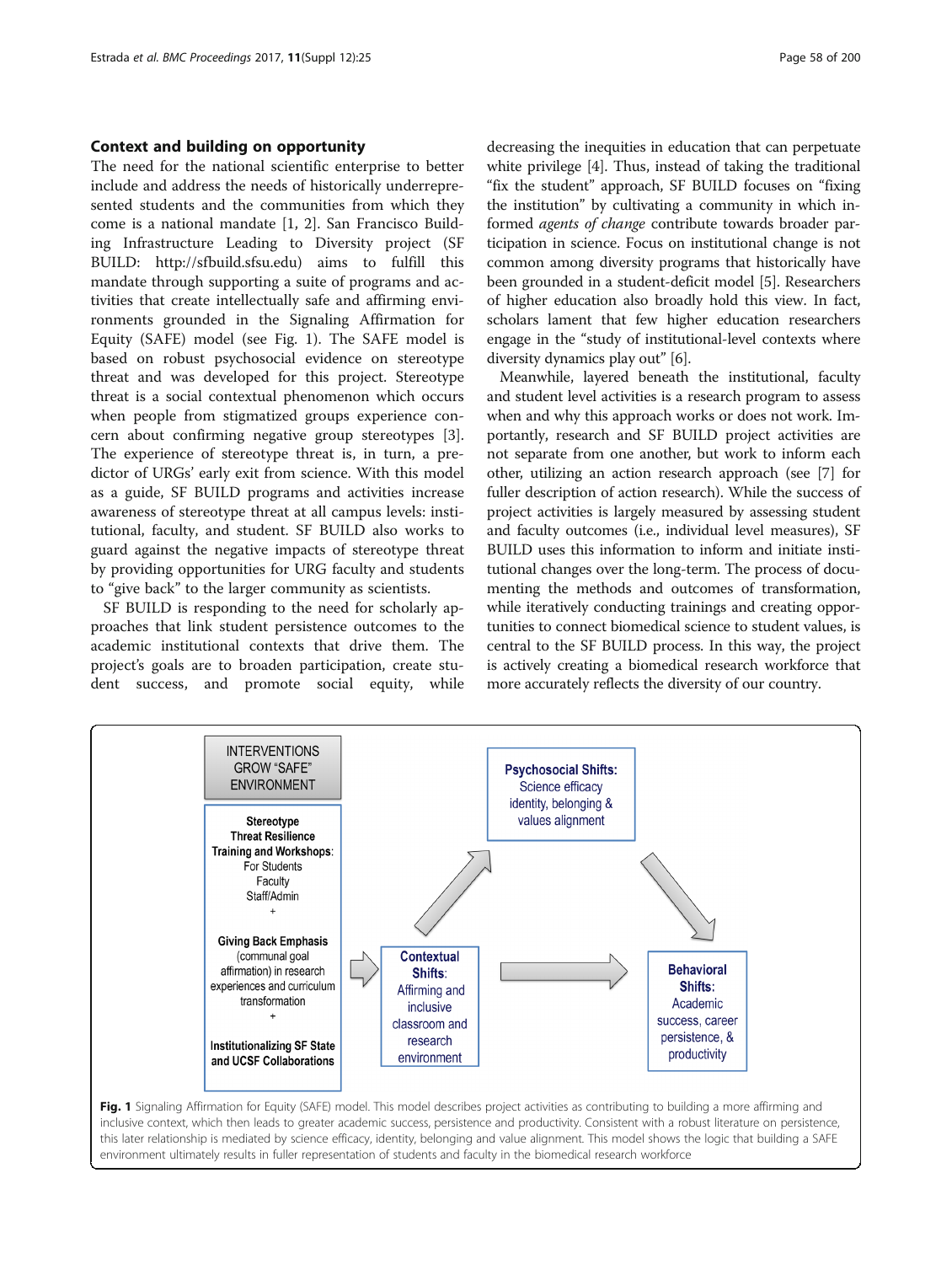## <span id="page-1-0"></span>Context and building on opportunity

The need for the national scientific enterprise to better include and address the needs of historically underrepresented students and the communities from which they come is a national mandate [[1](#page-9-0), [2](#page-9-0)]. San Francisco Building Infrastructure Leading to Diversity project (SF BUILD:<http://sfbuild.sfsu.edu>) aims to fulfill this mandate through supporting a suite of programs and activities that create intellectually safe and affirming environments grounded in the Signaling Affirmation for Equity (SAFE) model (see Fig. 1). The SAFE model is based on robust psychosocial evidence on stereotype threat and was developed for this project. Stereotype threat is a social contextual phenomenon which occurs when people from stigmatized groups experience concern about confirming negative group stereotypes [\[3](#page-9-0)]. The experience of stereotype threat is, in turn, a predictor of URGs' early exit from science. With this model as a guide, SF BUILD programs and activities increase awareness of stereotype threat at all campus levels: institutional, faculty, and student. SF BUILD also works to guard against the negative impacts of stereotype threat by providing opportunities for URG faculty and students to "give back" to the larger community as scientists.

SF BUILD is responding to the need for scholarly approaches that link student persistence outcomes to the academic institutional contexts that drive them. The project's goals are to broaden participation, create student success, and promote social equity, while decreasing the inequities in education that can perpetuate white privilege [\[4](#page-9-0)]. Thus, instead of taking the traditional "fix the student" approach, SF BUILD focuses on "fixing the institution" by cultivating a community in which informed agents of change contribute towards broader participation in science. Focus on institutional change is not common among diversity programs that historically have been grounded in a student-deficit model [\[5](#page-9-0)]. Researchers of higher education also broadly hold this view. In fact, scholars lament that few higher education researchers engage in the "study of institutional-level contexts where diversity dynamics play out" [\[6](#page-9-0)].

Meanwhile, layered beneath the institutional, faculty and student level activities is a research program to assess when and why this approach works or does not work. Importantly, research and SF BUILD project activities are not separate from one another, but work to inform each other, utilizing an action research approach (see [[7](#page-9-0)] for fuller description of action research). While the success of project activities is largely measured by assessing student and faculty outcomes (i.e., individual level measures), SF BUILD uses this information to inform and initiate institutional changes over the long-term. The process of documenting the methods and outcomes of transformation, while iteratively conducting trainings and creating opportunities to connect biomedical science to student values, is central to the SF BUILD process. In this way, the project is actively creating a biomedical research workforce that more accurately reflects the diversity of our country.

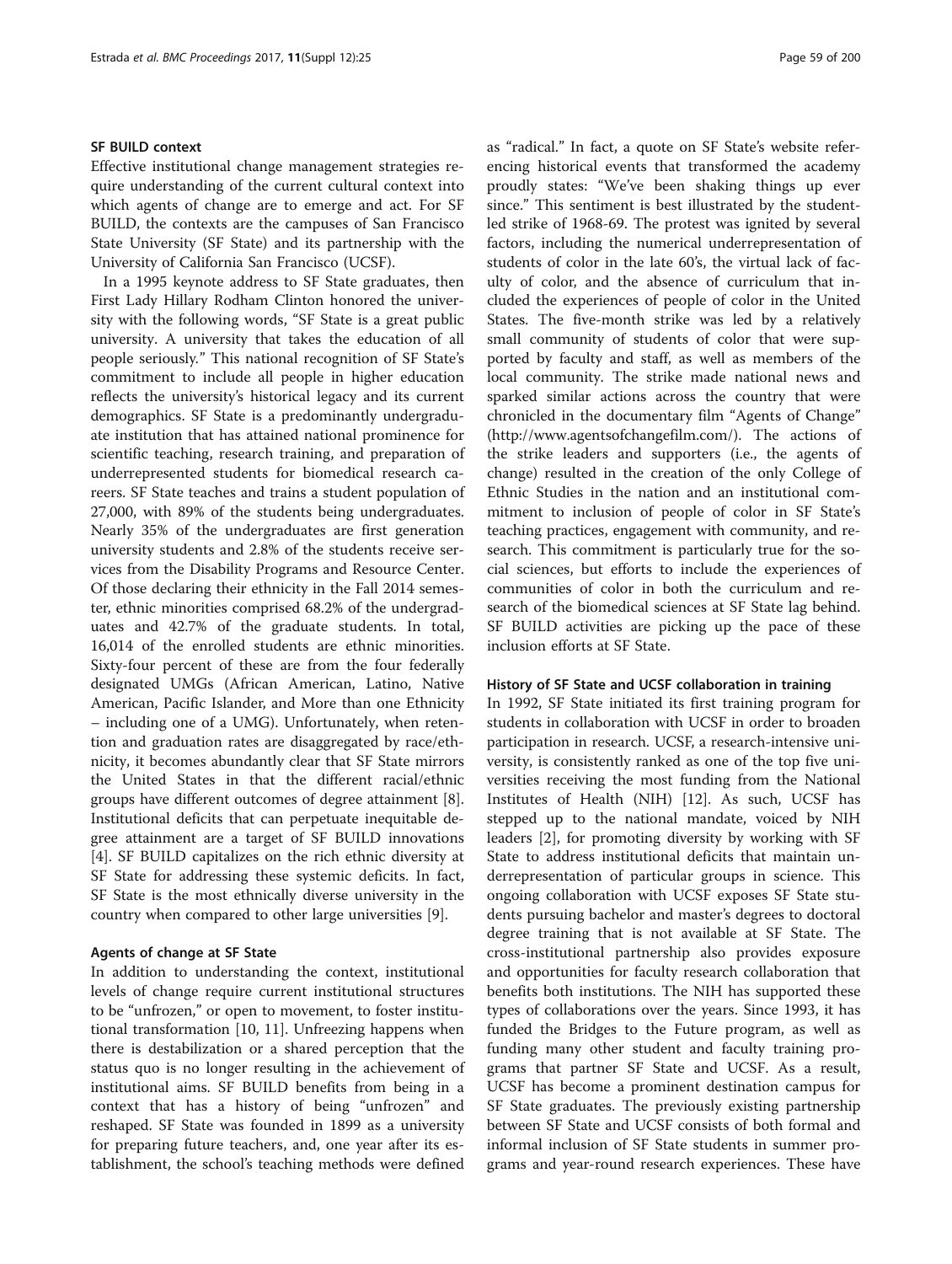## SF BUILD context

Effective institutional change management strategies require understanding of the current cultural context into which agents of change are to emerge and act. For SF BUILD, the contexts are the campuses of San Francisco State University (SF State) and its partnership with the University of California San Francisco (UCSF).

In a 1995 keynote address to SF State graduates, then First Lady Hillary Rodham Clinton honored the university with the following words, "SF State is a great public university. A university that takes the education of all people seriously." This national recognition of SF State's commitment to include all people in higher education reflects the university's historical legacy and its current demographics. SF State is a predominantly undergraduate institution that has attained national prominence for scientific teaching, research training, and preparation of underrepresented students for biomedical research careers. SF State teaches and trains a student population of 27,000, with 89% of the students being undergraduates. Nearly 35% of the undergraduates are first generation university students and 2.8% of the students receive services from the Disability Programs and Resource Center. Of those declaring their ethnicity in the Fall 2014 semester, ethnic minorities comprised 68.2% of the undergraduates and 42.7% of the graduate students. In total, 16,014 of the enrolled students are ethnic minorities. Sixty-four percent of these are from the four federally designated UMGs (African American, Latino, Native American, Pacific Islander, and More than one Ethnicity – including one of a UMG). Unfortunately, when retention and graduation rates are disaggregated by race/ethnicity, it becomes abundantly clear that SF State mirrors the United States in that the different racial/ethnic groups have different outcomes of degree attainment [\[8](#page-9-0)]. Institutional deficits that can perpetuate inequitable degree attainment are a target of SF BUILD innovations [[4\]](#page-9-0). SF BUILD capitalizes on the rich ethnic diversity at SF State for addressing these systemic deficits. In fact, SF State is the most ethnically diverse university in the country when compared to other large universities [\[9](#page-9-0)].

## Agents of change at SF State

In addition to understanding the context, institutional levels of change require current institutional structures to be "unfrozen," or open to movement, to foster institutional transformation [\[10](#page-9-0), [11](#page-9-0)]. Unfreezing happens when there is destabilization or a shared perception that the status quo is no longer resulting in the achievement of institutional aims. SF BUILD benefits from being in a context that has a history of being "unfrozen" and reshaped. SF State was founded in 1899 as a university for preparing future teachers, and, one year after its establishment, the school's teaching methods were defined as "radical." In fact, a quote on SF State's website referencing historical events that transformed the academy proudly states: "We've been shaking things up ever since." This sentiment is best illustrated by the studentled strike of 1968-69. The protest was ignited by several factors, including the numerical underrepresentation of students of color in the late 60's, the virtual lack of faculty of color, and the absence of curriculum that included the experiences of people of color in the United States. The five-month strike was led by a relatively small community of students of color that were supported by faculty and staff, as well as members of the local community. The strike made national news and sparked similar actions across the country that were chronicled in the documentary film "Agents of Change" ([http://www.agentsofchangefilm.com/\)](http://www.agentsofchangefilm.com/). The actions of the strike leaders and supporters (i.e., the agents of change) resulted in the creation of the only College of Ethnic Studies in the nation and an institutional commitment to inclusion of people of color in SF State's teaching practices, engagement with community, and research. This commitment is particularly true for the social sciences, but efforts to include the experiences of communities of color in both the curriculum and research of the biomedical sciences at SF State lag behind. SF BUILD activities are picking up the pace of these inclusion efforts at SF State.

#### History of SF State and UCSF collaboration in training

In 1992, SF State initiated its first training program for students in collaboration with UCSF in order to broaden participation in research. UCSF, a research-intensive university, is consistently ranked as one of the top five universities receiving the most funding from the National Institutes of Health (NIH) [\[12\]](#page-9-0). As such, UCSF has stepped up to the national mandate, voiced by NIH leaders [\[2](#page-9-0)], for promoting diversity by working with SF State to address institutional deficits that maintain underrepresentation of particular groups in science. This ongoing collaboration with UCSF exposes SF State students pursuing bachelor and master's degrees to doctoral degree training that is not available at SF State. The cross-institutional partnership also provides exposure and opportunities for faculty research collaboration that benefits both institutions. The NIH has supported these types of collaborations over the years. Since 1993, it has funded the Bridges to the Future program, as well as funding many other student and faculty training programs that partner SF State and UCSF. As a result, UCSF has become a prominent destination campus for SF State graduates. The previously existing partnership between SF State and UCSF consists of both formal and informal inclusion of SF State students in summer programs and year-round research experiences. These have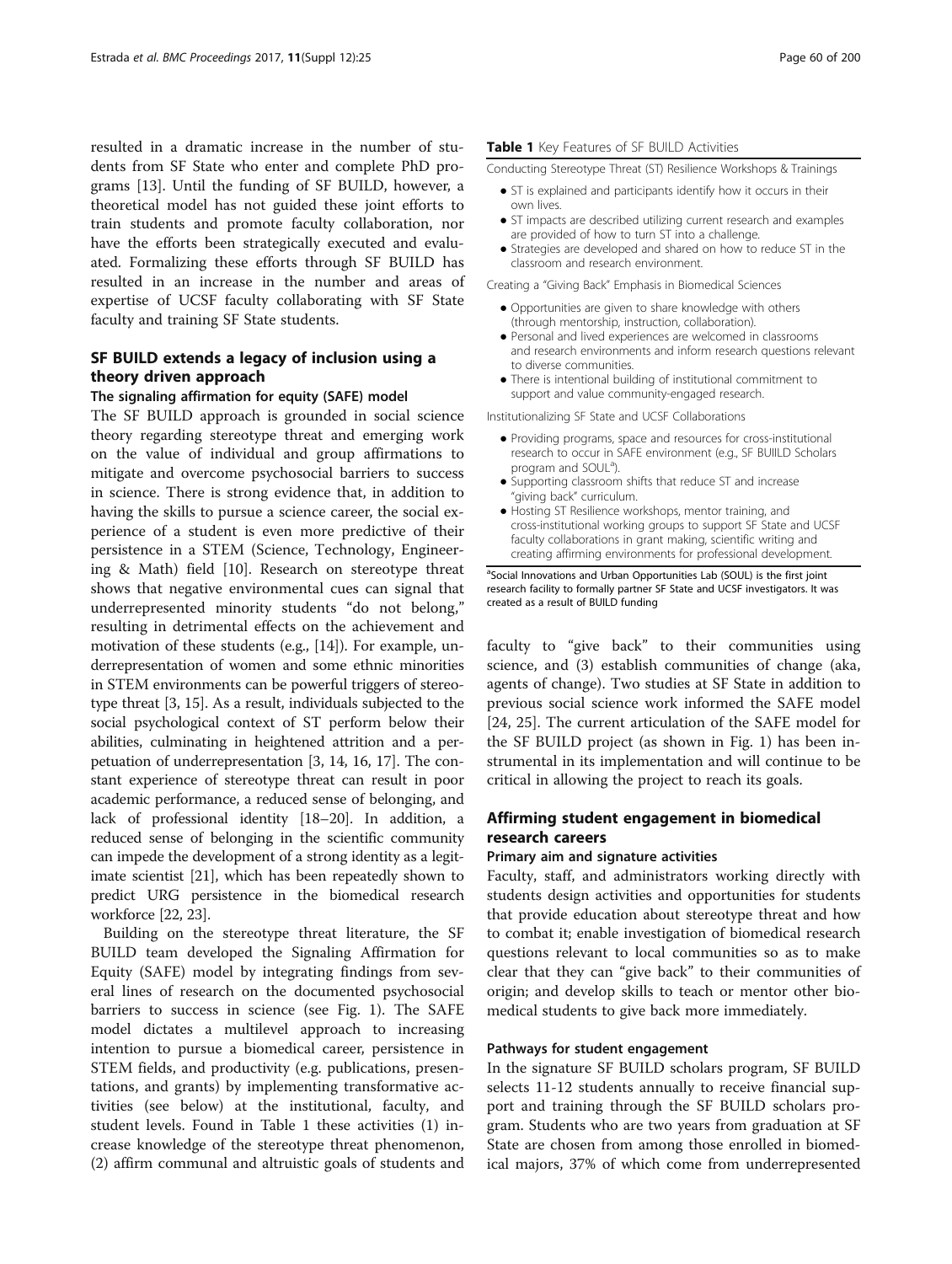<span id="page-3-0"></span>resulted in a dramatic increase in the number of students from SF State who enter and complete PhD programs [[13](#page-9-0)]. Until the funding of SF BUILD, however, a theoretical model has not guided these joint efforts to train students and promote faculty collaboration, nor have the efforts been strategically executed and evaluated. Formalizing these efforts through SF BUILD has resulted in an increase in the number and areas of expertise of UCSF faculty collaborating with SF State faculty and training SF State students.

## SF BUILD extends a legacy of inclusion using a theory driven approach

#### The signaling affirmation for equity (SAFE) model

The SF BUILD approach is grounded in social science theory regarding stereotype threat and emerging work on the value of individual and group affirmations to mitigate and overcome psychosocial barriers to success in science. There is strong evidence that, in addition to having the skills to pursue a science career, the social experience of a student is even more predictive of their persistence in a STEM (Science, Technology, Engineering & Math) field [[10](#page-9-0)]. Research on stereotype threat shows that negative environmental cues can signal that underrepresented minority students "do not belong," resulting in detrimental effects on the achievement and motivation of these students (e.g., [[14](#page-9-0)]). For example, underrepresentation of women and some ethnic minorities in STEM environments can be powerful triggers of stereotype threat [[3, 15](#page-9-0)]. As a result, individuals subjected to the social psychological context of ST perform below their abilities, culminating in heightened attrition and a perpetuation of underrepresentation [[3, 14](#page-9-0), [16](#page-9-0), [17\]](#page-9-0). The constant experience of stereotype threat can result in poor academic performance, a reduced sense of belonging, and lack of professional identity [[18](#page-9-0)–[20\]](#page-10-0). In addition, a reduced sense of belonging in the scientific community can impede the development of a strong identity as a legitimate scientist [[21\]](#page-10-0), which has been repeatedly shown to predict URG persistence in the biomedical research workforce [[22](#page-10-0), [23\]](#page-10-0).

Building on the stereotype threat literature, the SF BUILD team developed the Signaling Affirmation for Equity (SAFE) model by integrating findings from several lines of research on the documented psychosocial barriers to success in science (see Fig. [1\)](#page-1-0). The SAFE model dictates a multilevel approach to increasing intention to pursue a biomedical career, persistence in STEM fields, and productivity (e.g. publications, presentations, and grants) by implementing transformative activities (see below) at the institutional, faculty, and student levels. Found in Table 1 these activities (1) increase knowledge of the stereotype threat phenomenon, (2) affirm communal and altruistic goals of students and

#### Table 1 Key Features of SF BUILD Activities

Conducting Stereotype Threat (ST) Resilience Workshops & Trainings

- ST is explained and participants identify how it occurs in their own lives.
- ST impacts are described utilizing current research and examples are provided of how to turn ST into a challenge.
- Strategies are developed and shared on how to reduce ST in the classroom and research environment.

Creating a "Giving Back" Emphasis in Biomedical Sciences

- Opportunities are given to share knowledge with others (through mentorship, instruction, collaboration).
- Personal and lived experiences are welcomed in classrooms and research environments and inform research questions relevant to diverse communities.
- There is intentional building of institutional commitment to support and value community-engaged research.

Institutionalizing SF State and UCSF Collaborations

- Providing programs, space and resources for cross-institutional research to occur in SAFE environment (e.g., SF BUIILD Scholars program and SOUL<sup>a</sup>).
- Supporting classroom shifts that reduce ST and increase "giving back" curriculum.
- Hosting ST Resilience workshops, mentor training, and cross-institutional working groups to support SF State and UCSF faculty collaborations in grant making, scientific writing and creating affirming environments for professional development.

<sup>a</sup>Social Innovations and Urban Opportunities Lab (SOUL) is the first joint research facility to formally partner SF State and UCSF investigators. It was created as a result of BUILD funding

faculty to "give back" to their communities using science, and (3) establish communities of change (aka, agents of change). Two studies at SF State in addition to previous social science work informed the SAFE model [[24, 25\]](#page-10-0). The current articulation of the SAFE model for the SF BUILD project (as shown in Fig. [1\)](#page-1-0) has been instrumental in its implementation and will continue to be critical in allowing the project to reach its goals.

## Affirming student engagement in biomedical research careers

## Primary aim and signature activities

Faculty, staff, and administrators working directly with students design activities and opportunities for students that provide education about stereotype threat and how to combat it; enable investigation of biomedical research questions relevant to local communities so as to make clear that they can "give back" to their communities of origin; and develop skills to teach or mentor other biomedical students to give back more immediately.

## Pathways for student engagement

In the signature SF BUILD scholars program, SF BUILD selects 11-12 students annually to receive financial support and training through the SF BUILD scholars program. Students who are two years from graduation at SF State are chosen from among those enrolled in biomedical majors, 37% of which come from underrepresented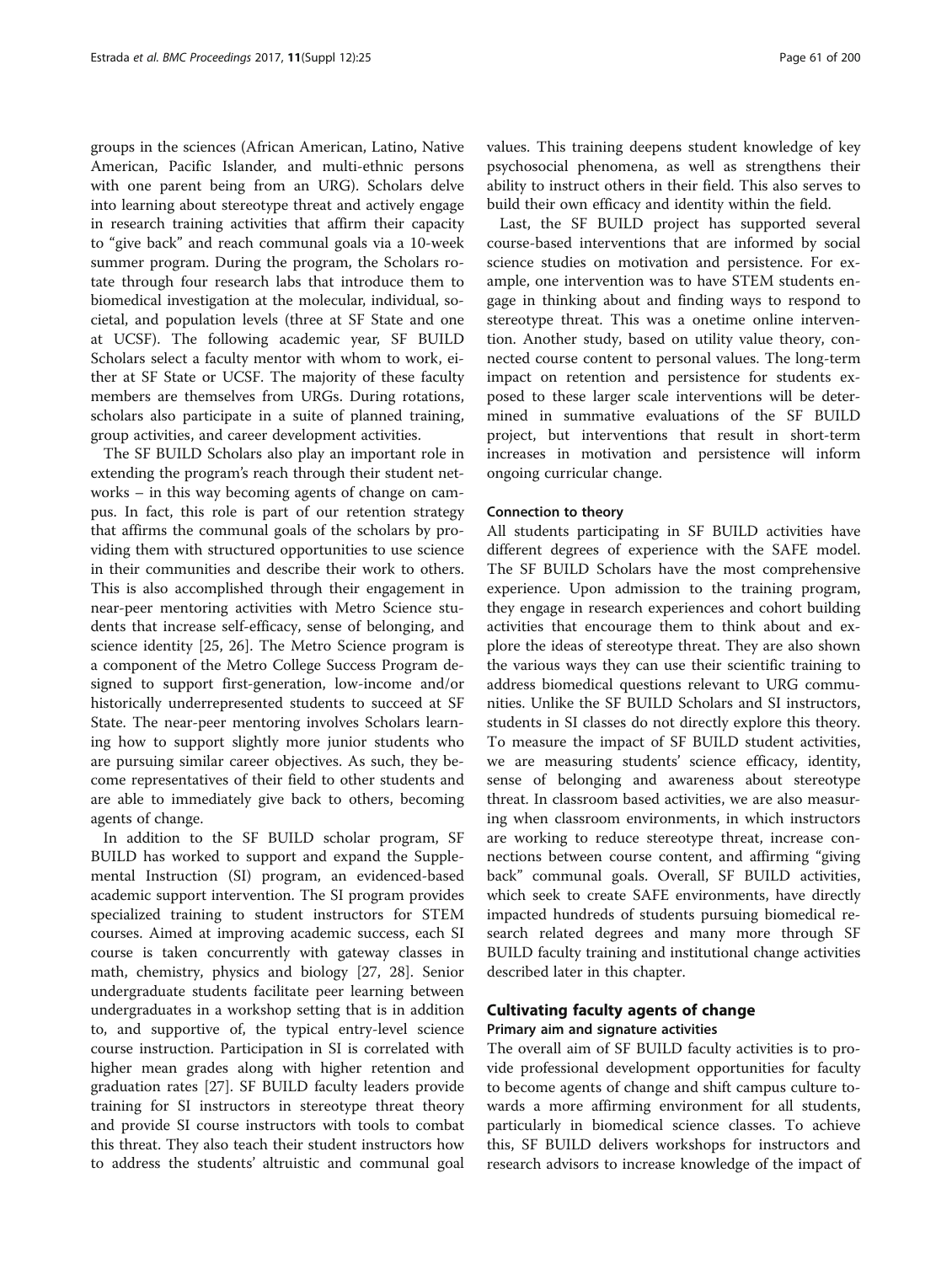groups in the sciences (African American, Latino, Native American, Pacific Islander, and multi-ethnic persons with one parent being from an URG). Scholars delve into learning about stereotype threat and actively engage in research training activities that affirm their capacity to "give back" and reach communal goals via a 10-week summer program. During the program, the Scholars rotate through four research labs that introduce them to biomedical investigation at the molecular, individual, societal, and population levels (three at SF State and one at UCSF). The following academic year, SF BUILD Scholars select a faculty mentor with whom to work, either at SF State or UCSF. The majority of these faculty members are themselves from URGs. During rotations, scholars also participate in a suite of planned training, group activities, and career development activities.

The SF BUILD Scholars also play an important role in extending the program's reach through their student networks – in this way becoming agents of change on campus. In fact, this role is part of our retention strategy that affirms the communal goals of the scholars by providing them with structured opportunities to use science in their communities and describe their work to others. This is also accomplished through their engagement in near-peer mentoring activities with Metro Science students that increase self-efficacy, sense of belonging, and science identity [[25](#page-10-0), [26](#page-10-0)]. The Metro Science program is a component of the Metro College Success Program designed to support first-generation, low-income and/or historically underrepresented students to succeed at SF State. The near-peer mentoring involves Scholars learning how to support slightly more junior students who are pursuing similar career objectives. As such, they become representatives of their field to other students and are able to immediately give back to others, becoming agents of change.

In addition to the SF BUILD scholar program, SF BUILD has worked to support and expand the Supplemental Instruction (SI) program, an evidenced-based academic support intervention. The SI program provides specialized training to student instructors for STEM courses. Aimed at improving academic success, each SI course is taken concurrently with gateway classes in math, chemistry, physics and biology [\[27](#page-10-0), [28\]](#page-10-0). Senior undergraduate students facilitate peer learning between undergraduates in a workshop setting that is in addition to, and supportive of, the typical entry-level science course instruction. Participation in SI is correlated with higher mean grades along with higher retention and graduation rates [[27\]](#page-10-0). SF BUILD faculty leaders provide training for SI instructors in stereotype threat theory and provide SI course instructors with tools to combat this threat. They also teach their student instructors how to address the students' altruistic and communal goal values. This training deepens student knowledge of key psychosocial phenomena, as well as strengthens their ability to instruct others in their field. This also serves to build their own efficacy and identity within the field.

Last, the SF BUILD project has supported several course-based interventions that are informed by social science studies on motivation and persistence. For example, one intervention was to have STEM students engage in thinking about and finding ways to respond to stereotype threat. This was a onetime online intervention. Another study, based on utility value theory, connected course content to personal values. The long-term impact on retention and persistence for students exposed to these larger scale interventions will be determined in summative evaluations of the SF BUILD project, but interventions that result in short-term increases in motivation and persistence will inform ongoing curricular change.

## Connection to theory

All students participating in SF BUILD activities have different degrees of experience with the SAFE model. The SF BUILD Scholars have the most comprehensive experience. Upon admission to the training program, they engage in research experiences and cohort building activities that encourage them to think about and explore the ideas of stereotype threat. They are also shown the various ways they can use their scientific training to address biomedical questions relevant to URG communities. Unlike the SF BUILD Scholars and SI instructors, students in SI classes do not directly explore this theory. To measure the impact of SF BUILD student activities, we are measuring students' science efficacy, identity, sense of belonging and awareness about stereotype threat. In classroom based activities, we are also measuring when classroom environments, in which instructors are working to reduce stereotype threat, increase connections between course content, and affirming "giving back" communal goals. Overall, SF BUILD activities, which seek to create SAFE environments, have directly impacted hundreds of students pursuing biomedical research related degrees and many more through SF BUILD faculty training and institutional change activities described later in this chapter.

## Cultivating faculty agents of change Primary aim and signature activities

The overall aim of SF BUILD faculty activities is to provide professional development opportunities for faculty to become agents of change and shift campus culture towards a more affirming environment for all students, particularly in biomedical science classes. To achieve this, SF BUILD delivers workshops for instructors and research advisors to increase knowledge of the impact of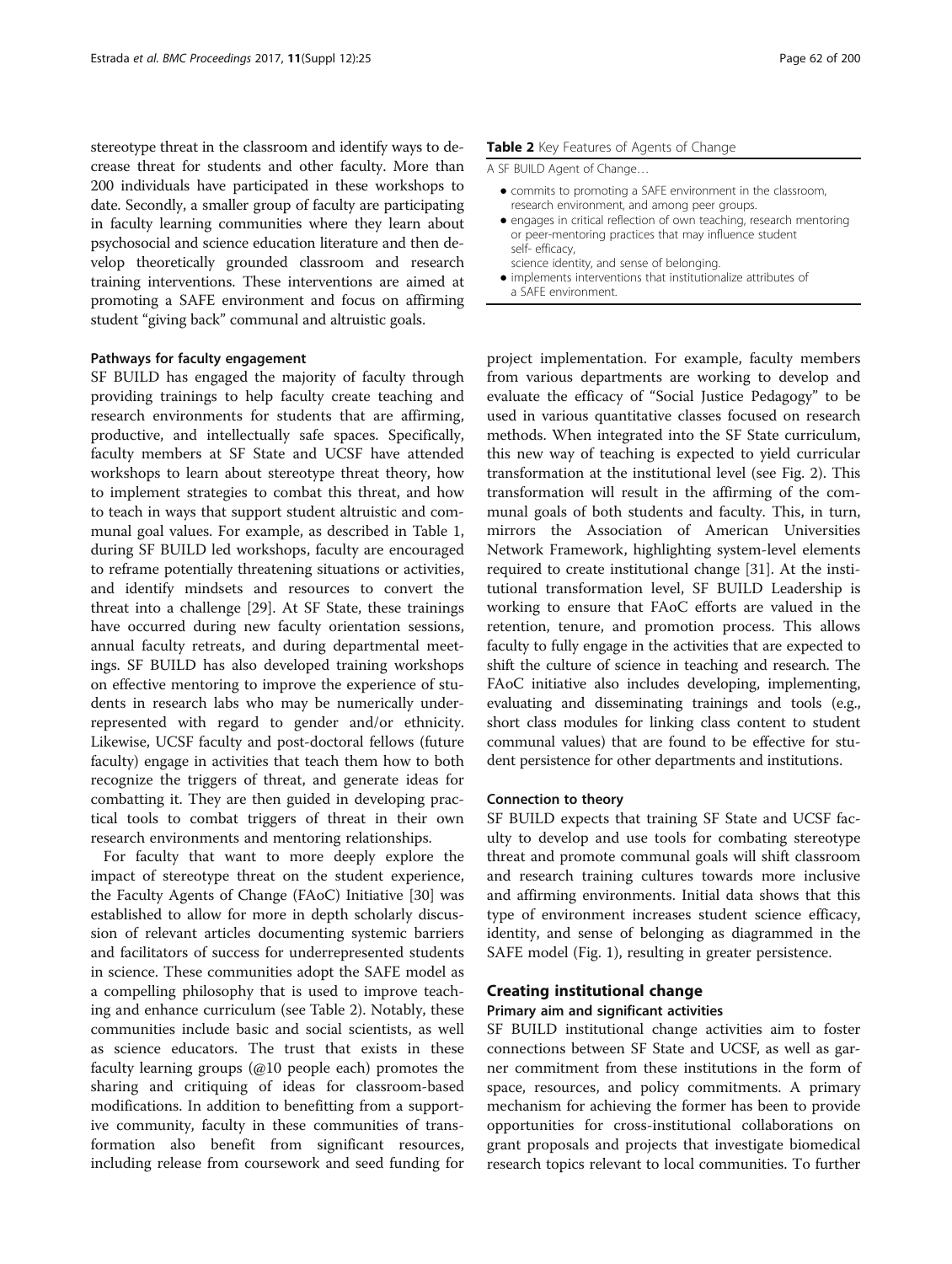stereotype threat in the classroom and identify ways to decrease threat for students and other faculty. More than 200 individuals have participated in these workshops to date. Secondly, a smaller group of faculty are participating in faculty learning communities where they learn about psychosocial and science education literature and then develop theoretically grounded classroom and research training interventions. These interventions are aimed at promoting a SAFE environment and focus on affirming student "giving back" communal and altruistic goals.

#### Pathways for faculty engagement

SF BUILD has engaged the majority of faculty through providing trainings to help faculty create teaching and research environments for students that are affirming, productive, and intellectually safe spaces. Specifically, faculty members at SF State and UCSF have attended workshops to learn about stereotype threat theory, how to implement strategies to combat this threat, and how to teach in ways that support student altruistic and communal goal values. For example, as described in Table [1](#page-3-0), during SF BUILD led workshops, faculty are encouraged to reframe potentially threatening situations or activities, and identify mindsets and resources to convert the threat into a challenge [[29](#page-10-0)]. At SF State, these trainings have occurred during new faculty orientation sessions, annual faculty retreats, and during departmental meetings. SF BUILD has also developed training workshops on effective mentoring to improve the experience of students in research labs who may be numerically underrepresented with regard to gender and/or ethnicity. Likewise, UCSF faculty and post-doctoral fellows (future faculty) engage in activities that teach them how to both recognize the triggers of threat, and generate ideas for combatting it. They are then guided in developing practical tools to combat triggers of threat in their own research environments and mentoring relationships.

For faculty that want to more deeply explore the impact of stereotype threat on the student experience, the Faculty Agents of Change (FAoC) Initiative [\[30\]](#page-10-0) was established to allow for more in depth scholarly discussion of relevant articles documenting systemic barriers and facilitators of success for underrepresented students in science. These communities adopt the SAFE model as a compelling philosophy that is used to improve teaching and enhance curriculum (see Table 2). Notably, these communities include basic and social scientists, as well as science educators. The trust that exists in these faculty learning groups (@10 people each) promotes the sharing and critiquing of ideas for classroom-based modifications. In addition to benefitting from a supportive community, faculty in these communities of transformation also benefit from significant resources, including release from coursework and seed funding for

## Table 2 Key Features of Agents of Change

A SF BUILD Agent of Change…

- commits to promoting a SAFE environment in the classroom, research environment, and among peer groups.
- engages in critical reflection of own teaching, research mentoring or peer-mentoring practices that may influence student self- efficacy,
- science identity, and sense of belonging.
- implements interventions that institutionalize attributes of a SAFE environment.

project implementation. For example, faculty members from various departments are working to develop and evaluate the efficacy of "Social Justice Pedagogy" to be used in various quantitative classes focused on research methods. When integrated into the SF State curriculum, this new way of teaching is expected to yield curricular transformation at the institutional level (see Fig. [2\)](#page-6-0). This transformation will result in the affirming of the communal goals of both students and faculty. This, in turn, mirrors the Association of American Universities Network Framework, highlighting system-level elements required to create institutional change [\[31](#page-10-0)]. At the institutional transformation level, SF BUILD Leadership is working to ensure that FAoC efforts are valued in the retention, tenure, and promotion process. This allows faculty to fully engage in the activities that are expected to shift the culture of science in teaching and research. The FAoC initiative also includes developing, implementing, evaluating and disseminating trainings and tools (e.g., short class modules for linking class content to student communal values) that are found to be effective for student persistence for other departments and institutions.

#### Connection to theory

SF BUILD expects that training SF State and UCSF faculty to develop and use tools for combating stereotype threat and promote communal goals will shift classroom and research training cultures towards more inclusive and affirming environments. Initial data shows that this type of environment increases student science efficacy, identity, and sense of belonging as diagrammed in the SAFE model (Fig. [1](#page-1-0)), resulting in greater persistence.

## Creating institutional change

#### Primary aim and significant activities

SF BUILD institutional change activities aim to foster connections between SF State and UCSF, as well as garner commitment from these institutions in the form of space, resources, and policy commitments. A primary mechanism for achieving the former has been to provide opportunities for cross-institutional collaborations on grant proposals and projects that investigate biomedical research topics relevant to local communities. To further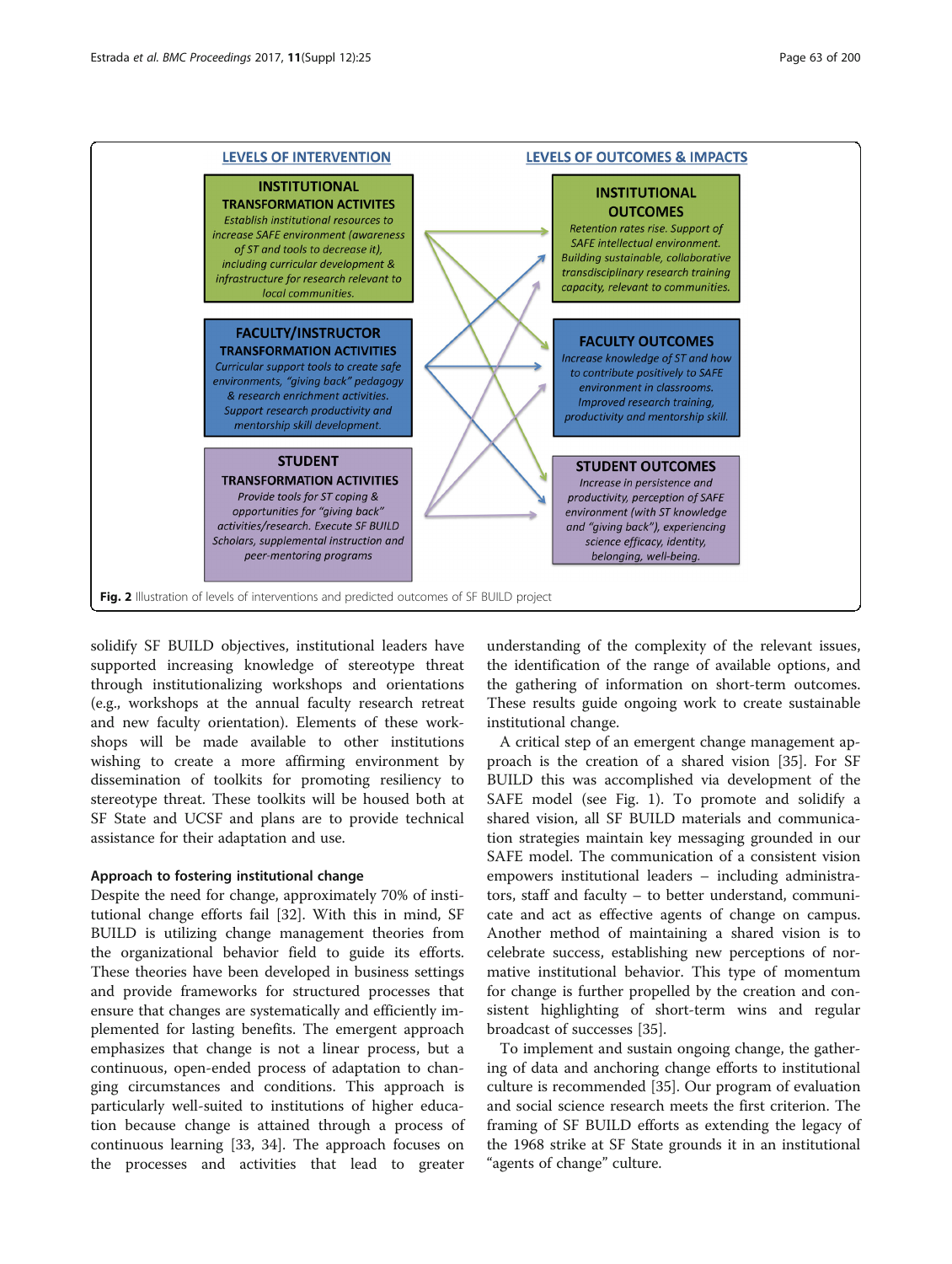<span id="page-6-0"></span>

solidify SF BUILD objectives, institutional leaders have supported increasing knowledge of stereotype threat through institutionalizing workshops and orientations (e.g., workshops at the annual faculty research retreat and new faculty orientation). Elements of these workshops will be made available to other institutions wishing to create a more affirming environment by dissemination of toolkits for promoting resiliency to stereotype threat. These toolkits will be housed both at SF State and UCSF and plans are to provide technical assistance for their adaptation and use.

## Approach to fostering institutional change

Despite the need for change, approximately 70% of institutional change efforts fail [\[32\]](#page-10-0). With this in mind, SF BUILD is utilizing change management theories from the organizational behavior field to guide its efforts. These theories have been developed in business settings and provide frameworks for structured processes that ensure that changes are systematically and efficiently implemented for lasting benefits. The emergent approach emphasizes that change is not a linear process, but a continuous, open-ended process of adaptation to changing circumstances and conditions. This approach is particularly well-suited to institutions of higher education because change is attained through a process of continuous learning [\[33](#page-10-0), [34\]](#page-10-0). The approach focuses on the processes and activities that lead to greater

understanding of the complexity of the relevant issues, the identification of the range of available options, and the gathering of information on short-term outcomes. These results guide ongoing work to create sustainable institutional change.

A critical step of an emergent change management approach is the creation of a shared vision [[35\]](#page-10-0). For SF BUILD this was accomplished via development of the SAFE model (see Fig. [1](#page-1-0)). To promote and solidify a shared vision, all SF BUILD materials and communication strategies maintain key messaging grounded in our SAFE model. The communication of a consistent vision empowers institutional leaders – including administrators, staff and faculty – to better understand, communicate and act as effective agents of change on campus. Another method of maintaining a shared vision is to celebrate success, establishing new perceptions of normative institutional behavior. This type of momentum for change is further propelled by the creation and consistent highlighting of short-term wins and regular broadcast of successes [\[35\]](#page-10-0).

To implement and sustain ongoing change, the gathering of data and anchoring change efforts to institutional culture is recommended [\[35](#page-10-0)]. Our program of evaluation and social science research meets the first criterion. The framing of SF BUILD efforts as extending the legacy of the 1968 strike at SF State grounds it in an institutional "agents of change" culture.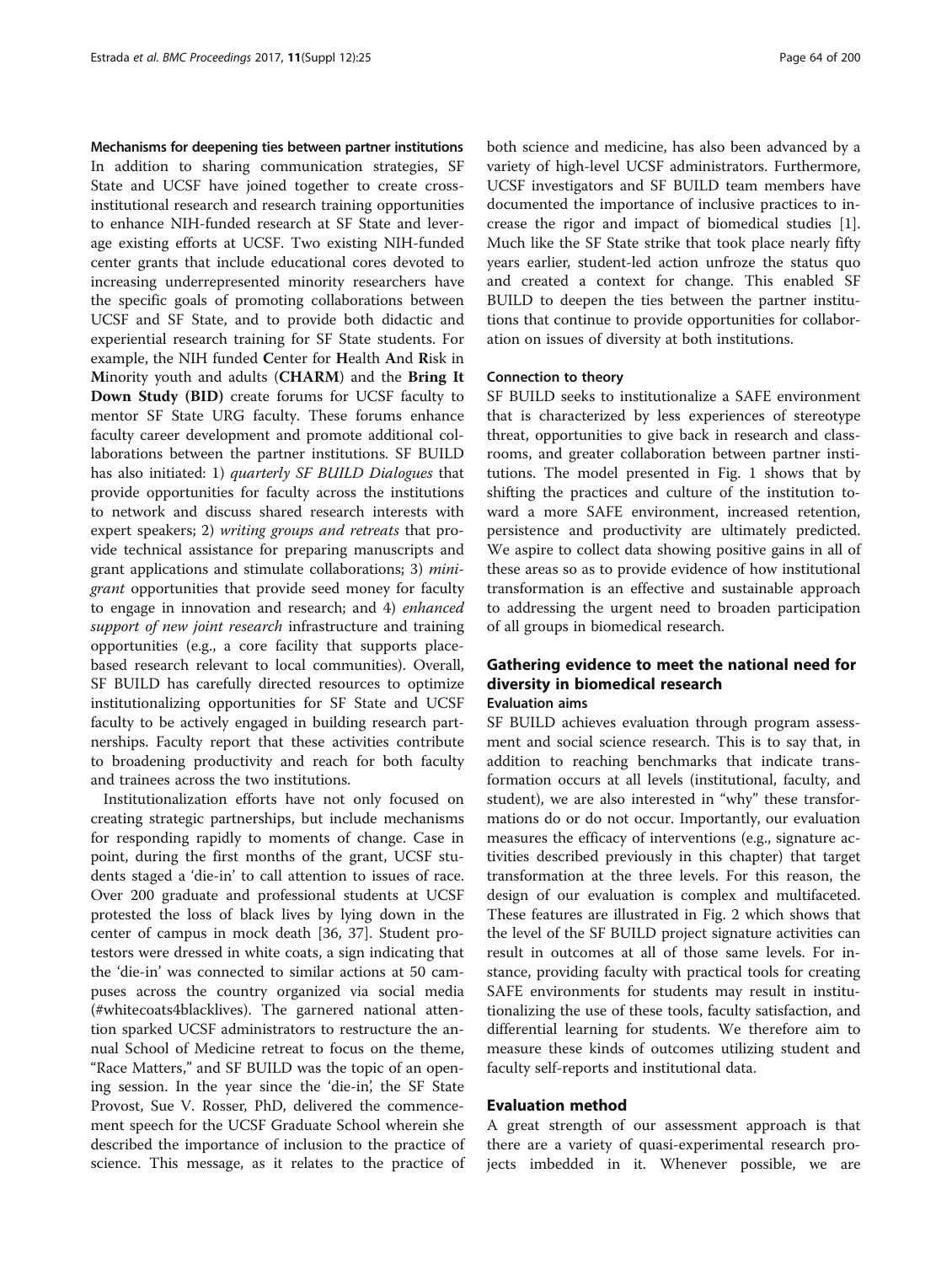Mechanisms for deepening ties between partner institutions In addition to sharing communication strategies, SF State and UCSF have joined together to create crossinstitutional research and research training opportunities to enhance NIH-funded research at SF State and leverage existing efforts at UCSF. Two existing NIH-funded center grants that include educational cores devoted to increasing underrepresented minority researchers have the specific goals of promoting collaborations between UCSF and SF State, and to provide both didactic and experiential research training for SF State students. For example, the NIH funded Center for Health And Risk in Minority youth and adults (CHARM) and the Bring It Down Study (BID) create forums for UCSF faculty to mentor SF State URG faculty. These forums enhance faculty career development and promote additional collaborations between the partner institutions. SF BUILD has also initiated: 1) quarterly SF BUILD Dialogues that provide opportunities for faculty across the institutions to network and discuss shared research interests with expert speakers; 2) writing groups and retreats that provide technical assistance for preparing manuscripts and grant applications and stimulate collaborations; 3) minigrant opportunities that provide seed money for faculty to engage in innovation and research; and 4) enhanced support of new joint research infrastructure and training opportunities (e.g., a core facility that supports placebased research relevant to local communities). Overall, SF BUILD has carefully directed resources to optimize institutionalizing opportunities for SF State and UCSF faculty to be actively engaged in building research partnerships. Faculty report that these activities contribute to broadening productivity and reach for both faculty and trainees across the two institutions.

Institutionalization efforts have not only focused on creating strategic partnerships, but include mechanisms for responding rapidly to moments of change. Case in point, during the first months of the grant, UCSF students staged a 'die-in' to call attention to issues of race. Over 200 graduate and professional students at UCSF protested the loss of black lives by lying down in the center of campus in mock death [[36, 37\]](#page-10-0). Student protestors were dressed in white coats, a sign indicating that the 'die-in' was connected to similar actions at 50 campuses across the country organized via social media (#whitecoats4blacklives). The garnered national attention sparked UCSF administrators to restructure the annual School of Medicine retreat to focus on the theme, "Race Matters," and SF BUILD was the topic of an opening session. In the year since the 'die-in', the SF State Provost, Sue V. Rosser, PhD, delivered the commencement speech for the UCSF Graduate School wherein she described the importance of inclusion to the practice of science. This message, as it relates to the practice of both science and medicine, has also been advanced by a variety of high-level UCSF administrators. Furthermore, UCSF investigators and SF BUILD team members have documented the importance of inclusive practices to increase the rigor and impact of biomedical studies [\[1](#page-9-0)]. Much like the SF State strike that took place nearly fifty years earlier, student-led action unfroze the status quo and created a context for change. This enabled SF BUILD to deepen the ties between the partner institutions that continue to provide opportunities for collaboration on issues of diversity at both institutions.

#### Connection to theory

SF BUILD seeks to institutionalize a SAFE environment that is characterized by less experiences of stereotype threat, opportunities to give back in research and classrooms, and greater collaboration between partner institutions. The model presented in Fig. [1](#page-1-0) shows that by shifting the practices and culture of the institution toward a more SAFE environment, increased retention, persistence and productivity are ultimately predicted. We aspire to collect data showing positive gains in all of these areas so as to provide evidence of how institutional transformation is an effective and sustainable approach to addressing the urgent need to broaden participation of all groups in biomedical research.

## Gathering evidence to meet the national need for diversity in biomedical research Evaluation aims

SF BUILD achieves evaluation through program assessment and social science research. This is to say that, in addition to reaching benchmarks that indicate transformation occurs at all levels (institutional, faculty, and student), we are also interested in "why" these transformations do or do not occur. Importantly, our evaluation measures the efficacy of interventions (e.g., signature activities described previously in this chapter) that target transformation at the three levels. For this reason, the design of our evaluation is complex and multifaceted. These features are illustrated in Fig. [2](#page-6-0) which shows that the level of the SF BUILD project signature activities can result in outcomes at all of those same levels. For instance, providing faculty with practical tools for creating SAFE environments for students may result in institutionalizing the use of these tools, faculty satisfaction, and differential learning for students. We therefore aim to measure these kinds of outcomes utilizing student and faculty self-reports and institutional data.

## Evaluation method

A great strength of our assessment approach is that there are a variety of quasi-experimental research projects imbedded in it. Whenever possible, we are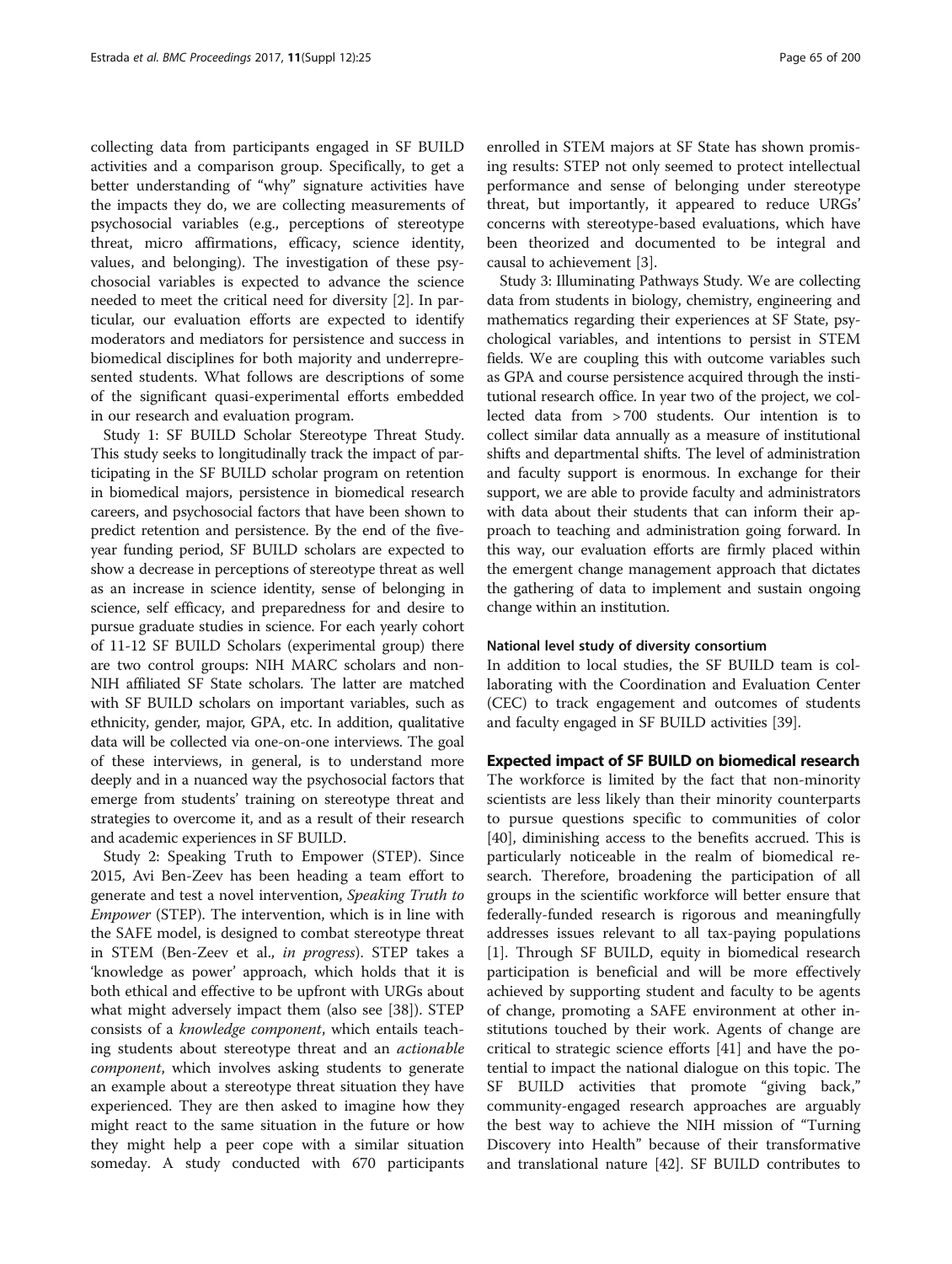collecting data from participants engaged in SF BUILD activities and a comparison group. Specifically, to get a better understanding of "why" signature activities have the impacts they do, we are collecting measurements of psychosocial variables (e.g., perceptions of stereotype threat, micro affirmations, efficacy, science identity, values, and belonging). The investigation of these psychosocial variables is expected to advance the science needed to meet the critical need for diversity [[2\]](#page-9-0). In particular, our evaluation efforts are expected to identify moderators and mediators for persistence and success in biomedical disciplines for both majority and underrepresented students. What follows are descriptions of some of the significant quasi-experimental efforts embedded in our research and evaluation program.

Study 1: SF BUILD Scholar Stereotype Threat Study. This study seeks to longitudinally track the impact of participating in the SF BUILD scholar program on retention in biomedical majors, persistence in biomedical research careers, and psychosocial factors that have been shown to predict retention and persistence. By the end of the fiveyear funding period, SF BUILD scholars are expected to show a decrease in perceptions of stereotype threat as well as an increase in science identity, sense of belonging in science, self efficacy, and preparedness for and desire to pursue graduate studies in science. For each yearly cohort of 11-12 SF BUILD Scholars (experimental group) there are two control groups: NIH MARC scholars and non-NIH affiliated SF State scholars. The latter are matched with SF BUILD scholars on important variables, such as ethnicity, gender, major, GPA, etc. In addition, qualitative data will be collected via one-on-one interviews. The goal of these interviews, in general, is to understand more deeply and in a nuanced way the psychosocial factors that emerge from students' training on stereotype threat and strategies to overcome it, and as a result of their research and academic experiences in SF BUILD.

Study 2: Speaking Truth to Empower (STEP). Since 2015, Avi Ben-Zeev has been heading a team effort to generate and test a novel intervention, Speaking Truth to Empower (STEP). The intervention, which is in line with the SAFE model, is designed to combat stereotype threat in STEM (Ben-Zeev et al., in progress). STEP takes a 'knowledge as power' approach, which holds that it is both ethical and effective to be upfront with URGs about what might adversely impact them (also see [\[38\]](#page-10-0)). STEP consists of a knowledge component, which entails teaching students about stereotype threat and an actionable component, which involves asking students to generate an example about a stereotype threat situation they have experienced. They are then asked to imagine how they might react to the same situation in the future or how they might help a peer cope with a similar situation someday. A study conducted with 670 participants

enrolled in STEM majors at SF State has shown promising results: STEP not only seemed to protect intellectual performance and sense of belonging under stereotype threat, but importantly, it appeared to reduce URGs' concerns with stereotype-based evaluations, which have been theorized and documented to be integral and causal to achievement [\[3\]](#page-9-0).

Study 3: Illuminating Pathways Study. We are collecting data from students in biology, chemistry, engineering and mathematics regarding their experiences at SF State, psychological variables, and intentions to persist in STEM fields. We are coupling this with outcome variables such as GPA and course persistence acquired through the institutional research office. In year two of the project, we collected data from > 700 students. Our intention is to collect similar data annually as a measure of institutional shifts and departmental shifts. The level of administration and faculty support is enormous. In exchange for their support, we are able to provide faculty and administrators with data about their students that can inform their approach to teaching and administration going forward. In this way, our evaluation efforts are firmly placed within the emergent change management approach that dictates the gathering of data to implement and sustain ongoing change within an institution.

## National level study of diversity consortium

In addition to local studies, the SF BUILD team is collaborating with the Coordination and Evaluation Center (CEC) to track engagement and outcomes of students and faculty engaged in SF BUILD activities [\[39](#page-10-0)].

#### Expected impact of SF BUILD on biomedical research

The workforce is limited by the fact that non-minority scientists are less likely than their minority counterparts to pursue questions specific to communities of color [[40\]](#page-10-0), diminishing access to the benefits accrued. This is particularly noticeable in the realm of biomedical research. Therefore, broadening the participation of all groups in the scientific workforce will better ensure that federally-funded research is rigorous and meaningfully addresses issues relevant to all tax-paying populations [[1\]](#page-9-0). Through SF BUILD, equity in biomedical research participation is beneficial and will be more effectively achieved by supporting student and faculty to be agents of change, promoting a SAFE environment at other institutions touched by their work. Agents of change are critical to strategic science efforts [\[41\]](#page-10-0) and have the potential to impact the national dialogue on this topic. The SF BUILD activities that promote "giving back," community-engaged research approaches are arguably the best way to achieve the NIH mission of "Turning Discovery into Health" because of their transformative and translational nature [[42\]](#page-10-0). SF BUILD contributes to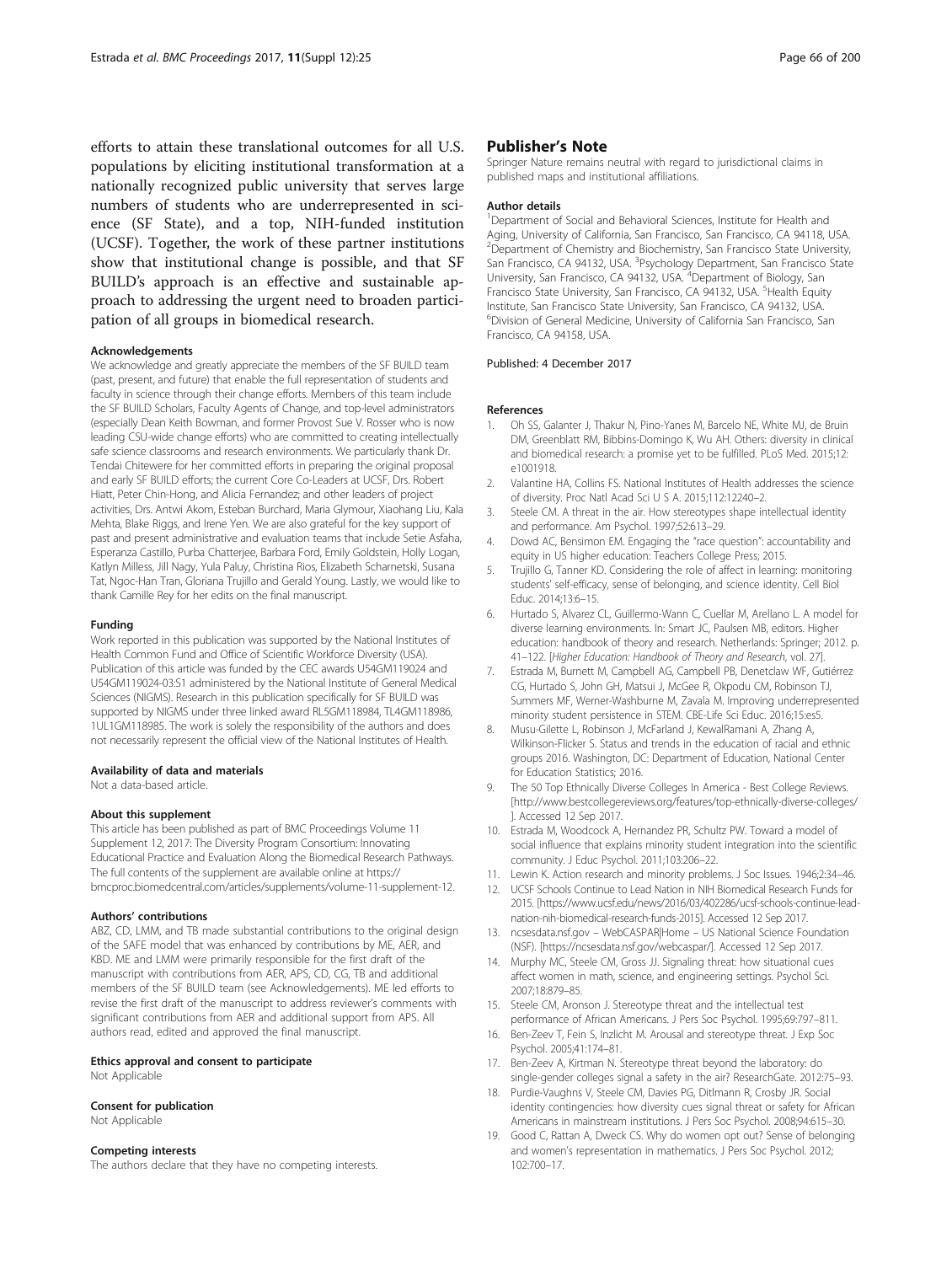<span id="page-9-0"></span>efforts to attain these translational outcomes for all U.S. populations by eliciting institutional transformation at a nationally recognized public university that serves large numbers of students who are underrepresented in science (SF State), and a top, NIH-funded institution (UCSF). Together, the work of these partner institutions show that institutional change is possible, and that SF BUILD's approach is an effective and sustainable approach to addressing the urgent need to broaden participation of all groups in biomedical research.

#### Acknowledgements

We acknowledge and greatly appreciate the members of the SF BUILD team (past, present, and future) that enable the full representation of students and faculty in science through their change efforts. Members of this team include the SF BUILD Scholars, Faculty Agents of Change, and top-level administrators (especially Dean Keith Bowman, and former Provost Sue V. Rosser who is now leading CSU-wide change efforts) who are committed to creating intellectually safe science classrooms and research environments. We particularly thank Dr. Tendai Chitewere for her committed efforts in preparing the original proposal and early SF BUILD efforts; the current Core Co-Leaders at UCSF, Drs. Robert Hiatt, Peter Chin-Hong, and Alicia Fernandez; and other leaders of project activities, Drs. Antwi Akom, Esteban Burchard, Maria Glymour, Xiaohang Liu, Kala Mehta, Blake Riggs, and Irene Yen. We are also grateful for the key support of past and present administrative and evaluation teams that include Setie Asfaha, Esperanza Castillo, Purba Chatterjee, Barbara Ford, Emily Goldstein, Holly Logan, Katlyn Milless, Jill Nagy, Yula Paluy, Christina Rios, Elizabeth Scharnetski, Susana Tat, Ngoc-Han Tran, Gloriana Trujillo and Gerald Young. Lastly, we would like to thank Camille Rey for her edits on the final manuscript.

#### Funding

Work reported in this publication was supported by the National Institutes of Health Common Fund and Office of Scientific Workforce Diversity (USA). Publication of this article was funded by the CEC awards U54GM119024 and U54GM119024-03:S1 administered by the National Institute of General Medical Sciences (NIGMS). Research in this publication specifically for SF BUILD was supported by NIGMS under three linked award RL5GM118984, TL4GM118986, 1UL1GM118985. The work is solely the responsibility of the authors and does not necessarily represent the official view of the National Institutes of Health.

#### Availability of data and materials

Not a data-based article.

#### About this supplement

This article has been published as part of BMC Proceedings Volume 11 Supplement 12, 2017: The Diversity Program Consortium: Innovating Educational Practice and Evaluation Along the Biomedical Research Pathways. The full contents of the supplement are available online at [https://](https://bmcproc.biomedcentral.com/articles/supplements/volume-11-supplement-12) [bmcproc.biomedcentral.com/articles/supplements/volume-11-supplement-12](https://bmcproc.biomedcentral.com/articles/supplements/volume-11-supplement-12).

#### Authors' contributions

ABZ, CD, LMM, and TB made substantial contributions to the original design of the SAFE model that was enhanced by contributions by ME, AER, and KBD. ME and LMM were primarily responsible for the first draft of the manuscript with contributions from AER, APS, CD, CG, TB and additional members of the SF BUILD team (see Acknowledgements). ME led efforts to revise the first draft of the manuscript to address reviewer's comments with significant contributions from AER and additional support from APS. All authors read, edited and approved the final manuscript.

# Ethics approval and consent to participate

Not Applicable

## Consent for publication

Not Applicable

## Competing interests

The authors declare that they have no competing interests.

## Publisher's Note

Springer Nature remains neutral with regard to jurisdictional claims in published maps and institutional affiliations.

#### Author details

<sup>1</sup>Department of Social and Behavioral Sciences, Institute for Health and Aging, University of California, San Francisco, San Francisco, CA 94118, USA. <sup>2</sup> Department of Chemistry and Biochemistry, San Francisco State University San Francisco, CA 94132, USA. <sup>3</sup>Psychology Department, San Francisco State University, San Francisco, CA 94132, USA. <sup>4</sup>Department of Biology, San Francisco State University, San Francisco, CA 94132, USA. <sup>5</sup>Health Equity Institute, San Francisco State University, San Francisco, CA 94132, USA. 6 Division of General Medicine, University of California San Francisco, San Francisco, CA 94158, USA.

#### Published: 4 December 2017

#### References

- 1. Oh SS, Galanter J, Thakur N, Pino-Yanes M, Barcelo NE, White MJ, de Bruin DM, Greenblatt RM, Bibbins-Domingo K, Wu AH. Others: diversity in clinical and biomedical research: a promise yet to be fulfilled. PLoS Med. 2015;12: e1001918.
- 2. Valantine HA, Collins FS. National Institutes of Health addresses the science of diversity. Proc Natl Acad Sci U S A. 2015;112:12240–2.
- 3. Steele CM. A threat in the air. How stereotypes shape intellectual identity and performance. Am Psychol. 1997;52:613–29.
- 4. Dowd AC, Bensimon EM. Engaging the "race question": accountability and equity in US higher education: Teachers College Press; 2015.
- 5. Trujillo G, Tanner KD. Considering the role of affect in learning: monitoring students' self-efficacy, sense of belonging, and science identity. Cell Biol Educ. 2014;13:6–15.
- 6. Hurtado S, Alvarez CL, Guillermo-Wann C, Cuellar M, Arellano L. A model for diverse learning environments. In: Smart JC, Paulsen MB, editors. Higher education: handbook of theory and research. Netherlands: Springer; 2012. p. 41–122. [Higher Education: Handbook of Theory and Research, vol. 27].
- 7. Estrada M, Burnett M, Campbell AG, Campbell PB, Denetclaw WF, Gutiérrez CG, Hurtado S, John GH, Matsui J, McGee R, Okpodu CM, Robinson TJ, Summers MF, Werner-Washburne M, Zavala M. Improving underrepresented minority student persistence in STEM. CBE-Life Sci Educ. 2016;15:es5.
- 8. Musu-Gilette L, Robinson J, McFarland J, KewalRamani A, Zhang A, Wilkinson-Flicker S. Status and trends in the education of racial and ethnic groups 2016. Washington, DC: Department of Education, National Center for Education Statistics; 2016.
- 9. The 50 Top Ethnically Diverse Colleges In America Best College Reviews. [[http://www.bestcollegereviews.org/features/top-ethnically-diverse-colleges/](http://www.bestcollegereviews.org/features/top-ethnically-diverse-colleges) ]. Accessed 12 Sep 2017.
- 10. Estrada M, Woodcock A, Hernandez PR, Schultz PW. Toward a model of social influence that explains minority student integration into the scientific community. J Educ Psychol. 2011;103:206–22.
- 11. Lewin K. Action research and minority problems. J Soc Issues. 1946;2:34–46.
- 12. UCSF Schools Continue to Lead Nation in NIH Biomedical Research Funds for 2015. [[https://www.ucsf.edu/news/2016/03/402286/ucsf-schools-continue-lead](https://www.ucsf.edu/news/2016/03/402286/ucsf-schools-continue-lead-nation-nih-biomedical-research-funds-2015)[nation-nih-biomedical-research-funds-2015](https://www.ucsf.edu/news/2016/03/402286/ucsf-schools-continue-lead-nation-nih-biomedical-research-funds-2015)]. Accessed 12 Sep 2017.
- 13. [ncsesdata.nsf.gov](http://ncsesdata.nsf.gov) WebCASPAR|Home US National Science Foundation (NSF). [[https://ncsesdata.nsf.gov/webcaspar/\]](https://ncsesdata.nsf.gov/webcaspar). Accessed 12 Sep 2017.
- 14. Murphy MC, Steele CM, Gross JJ. Signaling threat: how situational cues affect women in math, science, and engineering settings. Psychol Sci. 2007;18:879–85.
- 15. Steele CM, Aronson J. Stereotype threat and the intellectual test performance of African Americans. J Pers Soc Psychol. 1995;69:797–811.
- 16. Ben-Zeev T, Fein S, Inzlicht M. Arousal and stereotype threat. J Exp Soc Psychol. 2005;41:174–81.
- 17. Ben-Zeev A, Kirtman N. Stereotype threat beyond the laboratory: do single-gender colleges signal a safety in the air? ResearchGate. 2012:75–93.
- 18. Purdie-Vaughns V, Steele CM, Davies PG, Ditlmann R, Crosby JR. Social identity contingencies: how diversity cues signal threat or safety for African Americans in mainstream institutions. J Pers Soc Psychol. 2008;94:615–30.
- 19. Good C, Rattan A, Dweck CS. Why do women opt out? Sense of belonging and women's representation in mathematics. J Pers Soc Psychol. 2012; 102:700–17.